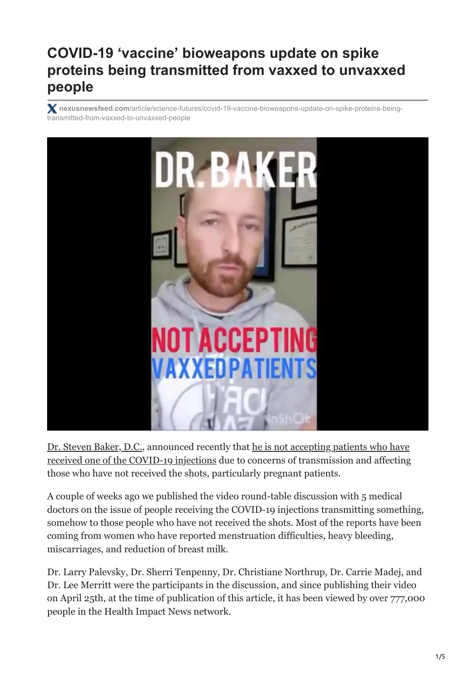# **COVID-19 'vaccine' bioweapons update on spike proteins being transmitted from vaxxed to unvaxxed people**

**nexusnewsfeed.com**[/article/science-futures/covid-19-vaccine-bioweapons-update-on-spike-proteins-being](https://www.nexusnewsfeed.com/article/science-futures/covid-19-vaccine-bioweapons-update-on-spike-proteins-being-transmitted-from-vaxxed-to-unvaxxed-people/?fbclid=IwAR18dPKfn7_VwZ7o0wPhSjNN53_UuLHAjMPyVOYmPsjZfgLiE0iyiUUkp0M)transmitted-from-vaxxed-to-unvaxxed-people



[Dr. Steven Baker, D.C.](https://prehabing.com/dr-baker/)[, announced recently that he is not accepting patients who have](https://www.bitchute.com/video/J2PPq1j1XGQF/) received one of the COVID-19 injections due to concerns of transmission and affecting those who have not received the shots, particularly pregnant patients.

A couple of weeks ago we published the video round-table discussion with 5 medical doctors on the issue of people receiving the COVID-19 injections transmitting something, somehow to those people who have not received the shots. Most of the reports have been coming from women who have reported menstruation difficulties, heavy bleeding, miscarriages, and reduction of breast milk.

Dr. Larry Palevsky, Dr. Sherri Tenpenny, Dr. Christiane Northrup, Dr. Carrie Madej, and Dr. Lee Merritt were the participants in the discussion, and since publishing their video on April 25th, at the time of publication of this article, it has been viewed by over 777,000 people in the Health Impact News network.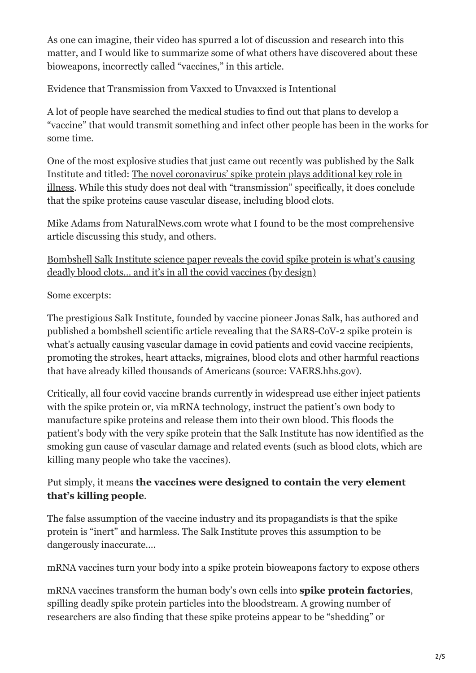As one can imagine, their video has spurred a lot of discussion and research into this matter, and I would like to summarize some of what others have discovered about these bioweapons, incorrectly called "vaccines," in this article.

Evidence that Transmission from Vaxxed to Unvaxxed is Intentional

A lot of people have searched the medical studies to find out that plans to develop a "vaccine" that would transmit something and infect other people has been in the works for some time.

One of the most explosive studies that just came out recently was published by the Salk Institute and titled: The novel coronavirus' spike protein plays additional key role in [illness. While this study does not deal with "transmission" specifically, it does conclu](https://www.salk.edu/news-release/the-novel-coronavirus-spike-protein-plays-additional-key-role-in-illness/)de that the spike proteins cause vascular disease, including blood clots.

Mike Adams from NaturalNews.com wrote what I found to be the most comprehensive article discussing this study, and others.

[Bombshell Salk Institute science paper reveals the covid spike protein is what's causing](https://www.naturalnews.com/2021-05-07-salk-institute-reveals-the-covid-spike-protein-causing-deadly-blood-clots.html#) deadly blood clots… and it's in all the covid vaccines (by design)

Some excerpts:

The prestigious Salk Institute, founded by vaccine pioneer Jonas Salk, has authored and published a bombshell scientific article revealing that the SARS-CoV-2 spike protein is what's actually causing vascular damage in covid patients and covid vaccine recipients, promoting the strokes, heart attacks, migraines, blood clots and other harmful reactions that have already killed thousands of Americans (source: VAERS.hhs.gov).

Critically, all four covid vaccine brands currently in widespread use either inject patients with the spike protein or, via mRNA technology, instruct the patient's own body to manufacture spike proteins and release them into their own blood. This floods the patient's body with the very spike protein that the Salk Institute has now identified as the smoking gun cause of vascular damage and related events (such as blood clots, which are killing many people who take the vaccines).

## Put simply, it means **the vaccines were designed to contain the very element that's killing people**.

The false assumption of the vaccine industry and its propagandists is that the spike protein is "inert" and harmless. The Salk Institute proves this assumption to be dangerously inaccurate….

mRNA vaccines turn your body into a spike protein bioweapons factory to expose others

mRNA vaccines transform the human body's own cells into **spike protein factories**, spilling deadly spike protein particles into the bloodstream. A growing number of researchers are also finding that these spike proteins appear to be "shedding" or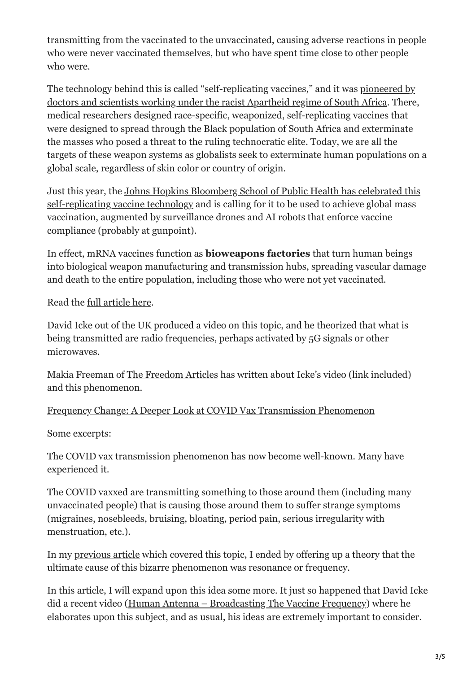transmitting from the vaccinated to the unvaccinated, causing adverse reactions in people who were never vaccinated themselves, but who have spent time close to other people who were.

[The technology behind this is called "self-replicating vaccines," and it was pioneered by](http://medicine.news/2021-05-05-gates-foundation-darpa-funding-self-replicating-weaponized-vaccine-apartheid-exterminate-blacks.html) doctors and scientists working under the racist Apartheid regime of South Africa. There, medical researchers designed race-specific, weaponized, self-replicating vaccines that were designed to spread through the Black population of South Africa and exterminate the masses who posed a threat to the ruling technocratic elite. Today, we are all the targets of these weapon systems as globalists seek to exterminate human populations on a global scale, regardless of skin color or country of origin.

[Just this year, the Johns Hopkins Bloomberg School of Public Health has celebrated this](https://science.news/2021-05-06-totalitarian-medical-police-state-future-johns-hopkins-report-ai-robots-and-drones.html) self-replicating vaccine technology and is calling for it to be used to achieve global mass vaccination, augmented by surveillance drones and AI robots that enforce vaccine compliance (probably at gunpoint).

In effect, mRNA vaccines function as **bioweapons factories** that turn human beings into biological weapon manufacturing and transmission hubs, spreading vascular damage and death to the entire population, including those who were not yet vaccinated.

Read the [full article here](https://www.naturalnews.com/2021-05-07-salk-institute-reveals-the-covid-spike-protein-causing-deadly-blood-clots.html#).

David Icke out of the UK produced a video on this topic, and he theorized that what is being transmitted are radio frequencies, perhaps activated by 5G signals or other microwaves.

Makia Freeman of [The Freedom Articles](https://thefreedomarticles.com/covid-vax-transmission-phenomenon-frequency-change/) has written about Icke's video (link included) and this phenomenon.

### [Frequency Change: A Deeper Look at COVID Vax Transmission Phenomenon](https://thefreedomarticles.com/covid-vax-transmission-phenomenon-frequency-change/)

Some excerpts:

The COVID vax transmission phenomenon has now become well-known. Many have experienced it.

The COVID vaxxed are transmitting something to those around them (including many unvaccinated people) that is causing those around them to suffer strange symptoms (migraines, nosebleeds, bruising, bloating, period pain, serious irregularity with menstruation, etc.).

In my [previous article](https://thefreedomarticles.com/bizarre-phenomenon-unvaccinated-getting-sick-being-around-the-covid-vaxxed/) which covered this topic, I ended by offering up a theory that the ultimate cause of this bizarre phenomenon was resonance or frequency.

In this article, I will expand upon this idea some more. It just so happened that David Icke did a recent video ([Human Antenna – Broadcasting The Vaccine Frequency](https://www.bitchute.com/video/6r4fMS6aQ9Kn/)) where he elaborates upon this subject, and as usual, his ideas are extremely important to consider.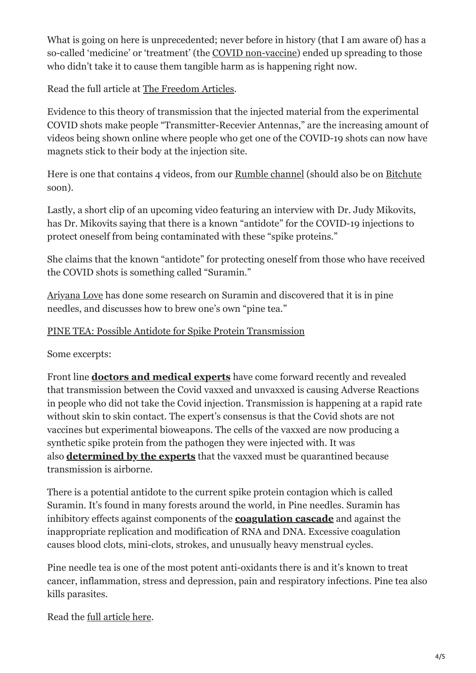What is going on here is unprecedented; never before in history (that I am aware of) has a so-called 'medicine' or 'treatment' (the [COVID non-vaccine](https://thefreedomarticles.com/not-a-vaccine-mrna-covid-vaccine-chemical-pathogen-device/)) ended up spreading to those who didn't take it to cause them tangible harm as is happening right now.

Read the full article at [The Freedom Articles.](https://thefreedomarticles.com/covid-vax-transmission-phenomenon-frequency-change/)

Evidence to this theory of transmission that the injected material from the experimental COVID shots make people "Transmitter-Recevier Antennas," are the increasing amount of videos being shown online where people who get one of the COVID-19 shots can now have magnets stick to their body at the injection site.

Here is one that contains 4 videos, from our [Rumble channel](https://rumble.com/vh1wd5-people-reporting-that-magnets-now-stick-to-their-arms-at-injection-site-fro.html) (should also be on [Bitchute](https://www.bitchute.com/channel/HlyeDvlqcVJm/) soon).

Lastly, a short clip of an upcoming video featuring an interview with Dr. Judy Mikovits, has Dr. Mikovits saying that there is a known "antidote" for the COVID-19 injections to protect oneself from being contaminated with these "spike proteins."

She claims that the known "antidote" for protecting oneself from those who have received the COVID shots is something called "Suramin."

[Ariyana Love](https://ambassadorlove.wordpress.com/2021/05/06/pine-tea-possible-antidote-for-spike-protein-transmission/) has done some research on Suramin and discovered that it is in pine needles, and discusses how to brew one's own "pine tea."

### [PINE TEA: Possible Antidote for Spike Protein Transmission](https://ambassadorlove.wordpress.com/2021/05/06/pine-tea-possible-antidote-for-spike-protein-transmission/)

Some excerpts:

Front line **[doctors and medical experts](https://ambassadorlove.wordpress.com/2021/04/28/world-doctors-warning-stay-away-from-the-vaxxed/)** have come forward recently and revealed that transmission between the Covid vaxxed and unvaxxed is causing Adverse Reactions in people who did not take the Covid injection. Transmission is happening at a rapid rate without skin to skin contact. The expert's consensus is that the Covid shots are not vaccines but experimental bioweapons. The cells of the vaxxed are now producing a synthetic spike protein from the pathogen they were injected with. It was also **[determined by the experts](https://ambassadorlove.wordpress.com/2021/05/02/the-covid-vaxxed-must-be-quarantined-expert-consensus/)** that the vaxxed must be quarantined because transmission is airborne.

There is a potential antidote to the current spike protein contagion which is called Suramin. It's found in many forests around the world, in Pine needles. Suramin has inhibitory effects against components of the **[coagulation cascade](https://en.wikipedia.org/wiki/Coagulation#The_coagulation_cascade)** and against the inappropriate replication and modification of RNA and DNA. Excessive coagulation causes blood clots, mini-clots, strokes, and unusually heavy menstrual cycles.

Pine needle tea is one of the most potent anti-oxidants there is and it's known to treat cancer, inflammation, stress and depression, pain and respiratory infections. Pine tea also kills parasites.

Read the [full article here](https://ambassadorlove.wordpress.com/2021/05/06/pine-tea-possible-antidote-for-spike-protein-transmission/).